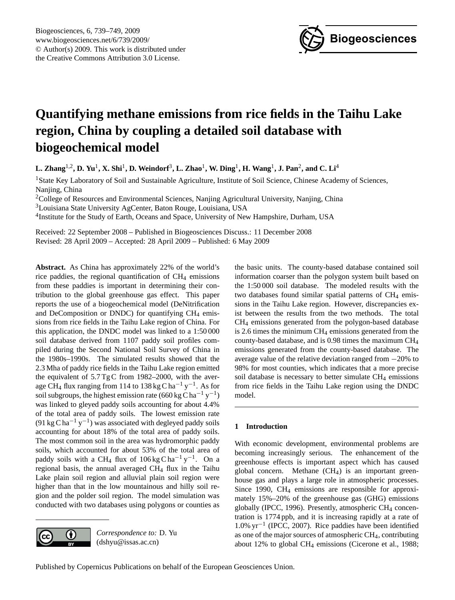

# <span id="page-0-0"></span>**Quantifying methane emissions from rice fields in the Taihu Lake region, China by coupling a detailed soil database with biogeochemical model**

**L. Zhang**1,2**, D. Yu**<sup>1</sup> **, X. Shi**<sup>1</sup> **, D. Weindorf**<sup>3</sup> **, L. Zhao**<sup>1</sup> **, W. Ding**<sup>1</sup> **, H. Wang**<sup>1</sup> **, J. Pan**<sup>2</sup> **, and C. Li**<sup>4</sup>

<sup>1</sup>State Key Laboratory of Soil and Sustainable Agriculture, Institute of Soil Science, Chinese Academy of Sciences, Nanjing, China

<sup>2</sup>College of Resources and Environmental Sciences, Nanjing Agricultural University, Nanjing, China

<sup>3</sup>Louisiana State University AgCenter, Baton Rouge, Louisiana, USA

<sup>4</sup>Institute for the Study of Earth, Oceans and Space, University of New Hampshire, Durham, USA

Received: 22 September 2008 – Published in Biogeosciences Discuss.: 11 December 2008 Revised: 28 April 2009 – Accepted: 28 April 2009 – Published: 6 May 2009

**Abstract.** As China has approximately 22% of the world's rice paddies, the regional quantification of  $CH<sub>4</sub>$  emissions from these paddies is important in determining their contribution to the global greenhouse gas effect. This paper reports the use of a biogeochemical model (DeNitrification and DeComposition or DNDC) for quantifying  $CH_4$  emissions from rice fields in the Taihu Lake region of China. For this application, the DNDC model was linked to a 1:50 000 soil database derived from 1107 paddy soil profiles compiled during the Second National Soil Survey of China in the 1980s–1990s. The simulated results showed that the 2.3 Mha of paddy rice fields in the Taihu Lake region emitted the equivalent of 5.7 Tg C from 1982–2000, with the average CH<sub>4</sub> flux ranging from 114 to 138 kg C ha<sup>-1</sup> y<sup>-1</sup>. As for soil subgroups, the highest emission rate (660 kg C ha<sup>-1</sup> y<sup>-1</sup>) was linked to gleyed paddy soils accounting for about 4.4% of the total area of paddy soils. The lowest emission rate (91 kg C ha<sup>-1</sup> y<sup>-1</sup>) was associated with degleyed paddy soils accounting for about 18% of the total area of paddy soils. The most common soil in the area was hydromorphic paddy soils, which accounted for about 53% of the total area of paddy soils with a CH<sub>4</sub> flux of  $106 \text{ kg C ha}^{-1} \text{ y}^{-1}$ . On a regional basis, the annual averaged CH<sup>4</sup> flux in the Taihu Lake plain soil region and alluvial plain soil region were higher than that in the low mountainous and hilly soil region and the polder soil region. The model simulation was conducted with two databases using polygons or counties as



*Correspondence to:* D. Yu (dshyu@issas.ac.cn)

the basic units. The county-based database contained soil information coarser than the polygon system built based on the 1:50 000 soil database. The modeled results with the two databases found similar spatial patterns of  $CH<sub>4</sub>$  emissions in the Taihu Lake region. However, discrepancies exist between the results from the two methods. The total CH<sup>4</sup> emissions generated from the polygon-based database is 2.6 times the minimum  $CH_4$  emissions generated from the county-based database, and is 0.98 times the maximum CH<sup>4</sup> emissions generated from the county-based database. The average value of the relative deviation ranged from −20% to 98% for most counties, which indicates that a more precise soil database is necessary to better simulate  $CH<sub>4</sub>$  emissions from rice fields in the Taihu Lake region using the DNDC model.

## **1 Introduction**

With economic development, environmental problems are becoming increasingly serious. The enhancement of the greenhouse effects is important aspect which has caused global concern. Methane  $(CH<sub>4</sub>)$  is an important greenhouse gas and plays a large role in atmospheric processes. Since 1990, CH<sub>4</sub> emissions are responsible for approximately 15%–20% of the greenhouse gas (GHG) emissions globally (IPCC, 1996). Presently, atmospheric CH<sub>4</sub> concentration is 1774 ppb, and it is increasing rapidly at a rate of 1.0% yr−<sup>1</sup> (IPCC, 2007). Rice paddies have been identified as one of the major sources of atmospheric CH4, contributing about 12% to global CH<sup>4</sup> emissions (Cicerone et al., 1988;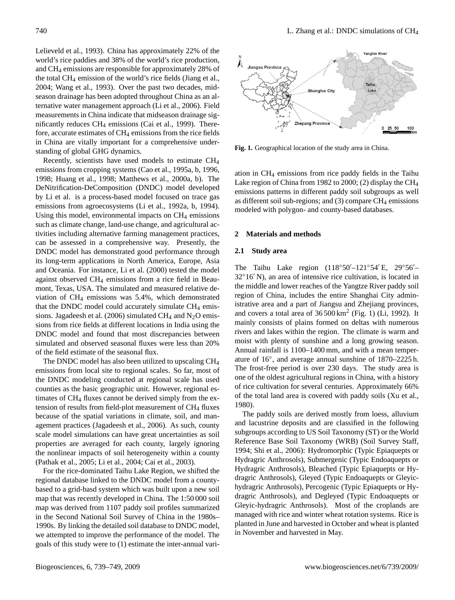Lelieveld et al., 1993). China has approximately 22% of the world's rice paddies and 38% of the world's rice production, and CH<sup>4</sup> emissions are responsible for approximately 28% of the total CH<sup>4</sup> emission of the world's rice fields (Jiang et al., 2004; Wang et al., 1993). Over the past two decades, midseason drainage has been adopted throughout China as an alternative water management approach (Li et al., 2006). Field measurements in China indicate that midseason drainage significantly reduces CH<sup>4</sup> emissions (Cai et al., 1999). Therefore, accurate estimates of  $CH_4$  emissions from the rice fields in China are vitally important for a comprehensive understanding of global GHG dynamics.

Recently, scientists have used models to estimate CH<sup>4</sup> 676 emissions from cropping systems (Cao et al., 1995a, b, 1996, 1998; Huang et al., 1998; Matthews et al., 2000a, b). The DeNitrification-DeComposition (DNDC) model developed by Li et al. is a process-based model focused on trace gas emissions from agroecosystems (Li et al., 1992a, b, 1994). Using this model, environmental impacts on  $CH<sub>4</sub>$  emissions such as climate change, land-use change, and agricultural activities including alternative farming management practices, can be assessed in a comprehensive way. Presently, the DNDC model has demonstrated good performance through its long-term applications in North America, Europe, Asia and Oceania. For instance, Li et al. (2000) tested the model against observed CH<sup>4</sup> emissions from a rice field in Beaumont, Texas, USA. The simulated and measured relative deviation of  $CH_4$  emissions was 5.4%, which demonstrated that the DNDC model could accurately simulate  $CH_4$  emissions. Jagadeesh et al. (2006) simulated CH<sub>4</sub> and  $N_2O$  emissions from rice fields at different locations in India using the DNDC model and found that most discrepancies between simulated and observed seasonal fluxes were less than 20% of the field estimate of the seasonal flux.

The DNDC model has also been utilized to upscaling CH<sup>4</sup> emissions from local site to regional scales. So far, most of the DNDC modeling conducted at regional scale has used counties as the basic geographic unit. However, regional estimates of CH<sub>4</sub> fluxes cannot be derived simply from the extension of results from field-plot measurement of CH<sub>4</sub> fluxes because of the spatial variations in climate, soil, and management practices (Jagadeesh et al., 2006). As such, county scale model simulations can have great uncertainties as soil properties are averaged for each county, largely ignoring the nonlinear impacts of soil heterogeneity within a county (Pathak et al., 2005; Li et al., 2004; Cai et al., 2003).

For the rice-dominated Taihu Lake Region, we shifted the regional database linked to the DNDC model from a countybased to a grid-basd system which was built upon a new soil map that was recently developed in China. The 1:50 000 soil map was derived from 1107 paddy soil profiles summarized in the Second National Soil Survey of China in the 1980s– 1990s. By linking the detailed soil database to DNDC model, we attempted to improve the performance of the model. The goals of this study were to (1) estimate the inter-annual vari-



Fig. 1. **Fig. 1.** Geographical location of the study area in China.

ation in CH<sup>4</sup> emissions from rice paddy fields in the Taihu Lake region of China from 1982 to 2000; (2) display the CH<sup>4</sup> emissions patterns in different paddy soil subgroups as well as different soil sub-regions; and  $(3)$  compare CH<sub>4</sub> emissions modeled with polygon- and county-based databases.

# **2 Materials and methods**

#### **2.1 Study area**

mainly consists of plains formed on deltas with numerous The Taihu Lake region  $(118°50' - 121°54' E, 29°56' 32^{\circ}16'$  N), an area of intensive rice cultivation, is located in the middle and lower reaches of the Yangtze River paddy soil region of China, includes the entire Shanghai City administrative area and a part of Jiangsu and Zhejiang provinces, and covers a total area of  $36500 \text{ km}^2$  (Fig. 1) (Li, 1992). It rivers and lakes within the region. The climate is warm and moist with plenty of sunshine and a long growing season. Annual rainfall is 1100–1400 mm, and with a mean temperature of 16◦ , and average annual sunshine of 1870–2225 h. The frost-free period is over 230 days. The study area is one of the oldest agricultural regions in China, with a history of rice cultivation for several centuries. Approximately 66% of the total land area is covered with paddy soils (Xu et al., 1980).

Reference Base Soil Taxonomy (WRB) (Soil Survey Staff, The paddy soils are derived mostly from loess, alluvium and lacustrine deposits and are classified in the following subgroups according to US Soil Taxonomy (ST) or the World 1994; Shi et al., 2006): Hydromorphic (Typic Epiaquepts or Hydragric Anthrosols), Submergenic (Typic Endoaquepts or Hydragric Anthrosols), Bleached (Typic Epiaquepts or Hydragric Anthrosols), Gleyed (Typic Endoaquepts or Gleyichydragric Anthrosols), Percogenic (Typic Epiaquepts or Hydragric Anthrosols), and Degleyed (Typic Endoaquepts or Gleyic-hydragric Anthrosols). Most of the croplands are managed with rice and winter wheat rotation systems. Rice is planted in June and harvested in October and wheat is planted in November and harvested in May.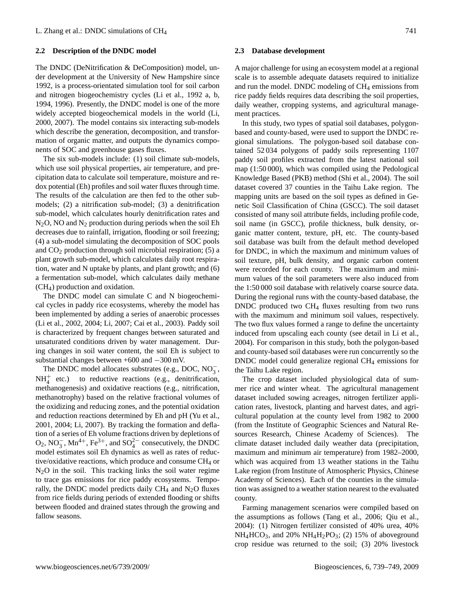#### **2.2 Description of the DNDC model**

The DNDC (DeNitrification & DeComposition) model, under development at the University of New Hampshire since 1992, is a process-orientated simulation tool for soil carbon and nitrogen biogeochemistry cycles (Li et al., 1992 a, b, 1994, 1996). Presently, the DNDC model is one of the more widely accepted biogeochemical models in the world (Li, 2000, 2007). The model contains six interacting sub-models which describe the generation, decomposition, and transformation of organic matter, and outputs the dynamics components of SOC and greenhouse gases fluxes.

The six sub-models include: (1) soil climate sub-models, which use soil physical properties, air temperature, and precipitation data to calculate soil temperature, moisture and redox potential (Eh) profiles and soil water fluxes through time. The results of the calculation are then fed to the other submodels; (2) a nitrification sub-model; (3) a denitrification sub-model, which calculates hourly denitrification rates and  $N_2$ O, NO and  $N_2$  production during periods when the soil Eh decreases due to rainfall, irrigation, flooding or soil freezing; (4) a sub-model simulating the decomposition of SOC pools and CO<sup>2</sup> production through soil microbial respiration; (5) a plant growth sub-model, which calculates daily root respiration, water and N uptake by plants, and plant growth; and (6) a fermentation sub-model, which calculates daily methane (CH4) production and oxidation.

The DNDC model can simulate C and N biogeochemical cycles in paddy rice ecosystems, whereby the model has been implemented by adding a series of anaerobic processes (Li et al., 2002, 2004; Li, 2007; Cai et al., 2003). Paddy soil is characterized by frequent changes between saturated and unsaturated conditions driven by water management. During changes in soil water content, the soil Eh is subject to substantial changes between +600 and −300 mV.

The DNDC model allocates substrates (e.g., DOC, NO<sub>3</sub>,  $NH_4^+$  etc.) to reductive reactions (e.g., denitrification, methanogenesis) and oxidative reactions (e.g., nitrification, methanotrophy) based on the relative fractional volumes of the oxidizing and reducing zones, and the potential oxidation and reduction reactions determined by Eh and pH (Yu et al., 2001, 2004; Li, 2007). By tracking the formation and deflation of a series of Eh volume fractions driven by depletions of  $O_2$ , NO<sub>3</sub>, Mn<sup>4+</sup>, Fe<sup>3+</sup>, and SO<sub>4</sub><sup>2–</sup> consecutively, the DNDC model estimates soil Eh dynamics as well as rates of reductive/oxidative reactions, which produce and consume  $CH_4$  or  $N<sub>2</sub>O$  in the soil. This tracking links the soil water regime to trace gas emissions for rice paddy ecosystems. Temporally, the DNDC model predicts daily  $CH<sub>4</sub>$  and N<sub>2</sub>O fluxes from rice fields during periods of extended flooding or shifts between flooded and drained states through the growing and fallow seasons.

#### **2.3 Database development**

A major challenge for using an ecosystem model at a regional scale is to assemble adequate datasets required to initialize and run the model. DNDC modeling of  $CH_4$  emissions from rice paddy fields requires data describing the soil properties, daily weather, cropping systems, and agricultural management practices.

In this study, two types of spatial soil databases, polygonbased and county-based, were used to support the DNDC regional simulations. The polygon-based soil database contained 52 034 polygons of paddy soils representing 1107 paddy soil profiles extracted from the latest national soil map (1:50 000), which was compiled using the Pedological Knowledge Based (PKB) method (Shi et al., 2004). The soil dataset covered 37 counties in the Taihu Lake region. The mapping units are based on the soil types as defined in Genetic Soil Classification of China (GSCC). The soil dataset consisted of many soil attribute fields, including profile code, soil name (in GSCC), profile thickness, bulk density, organic matter content, texture, pH, etc. The county-based soil database was built from the default method developed for DNDC, in which the maximum and minimum values of soil texture, pH, bulk density, and organic carbon content were recorded for each county. The maximum and minimum values of the soil parameters were also induced from the 1:50 000 soil database with relatively coarse source data. During the regional runs with the county-based database, the DNDC produced two CH<sup>4</sup> fluxes resulting from two runs with the maximum and minimum soil values, respectively. The two flux values formed a range to define the uncertainty induced from upscaling each county (see detail in Li et al., 2004). For comparison in this study, both the polygon-based and county-based soil databases were run concurrently so the DNDC model could generalize regional CH<sub>4</sub> emissions for the Taihu Lake region.

The crop dataset included physiological data of summer rice and winter wheat. The agricultural management dataset included sowing acreages, nitrogen fertilizer application rates, livestock, planting and harvest dates, and agricultural population at the county level from 1982 to 2000 (from the Institute of Geographic Sciences and Natural Resources Research, Chinese Academy of Sciences). The climate dataset included daily weather data (precipitation, maximum and minimum air temperature) from 1982–2000, which was acquired from 13 weather stations in the Taihu Lake region (from Institute of Atmospheric Physics, Chinese Academy of Sciences). Each of the counties in the simulation was assigned to a weather station nearest to the evaluated county.

Farming management scenarios were compiled based on the assumptions as follows (Tang et al., 2006; Qiu et al., 2004): (1) Nitrogen fertilizer consisted of 40% urea, 40%  $NH_4HCO_3$ , and 20%  $NH_4H_2PO_3$ ; (2) 15% of aboveground crop residue was returned to the soil; (3) 20% livestock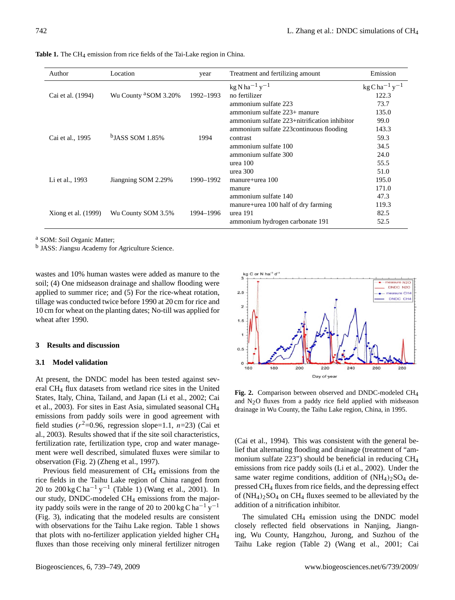| Author              | Location                         | year      | Treatment and fertilizing amount               | Emission                                       |
|---------------------|----------------------------------|-----------|------------------------------------------------|------------------------------------------------|
|                     |                                  |           | $\text{kg}$ N ha <sup>-1</sup> y <sup>-1</sup> | $\text{kg}\text{C}\text{ha}^{-1}\text{y}^{-1}$ |
| Cai et al. (1994)   | Wu County <sup>a</sup> SOM 3.20% | 1992-1993 | no fertilizer                                  | 122.3                                          |
|                     |                                  |           | ammonium sulfate 223                           | 73.7                                           |
|                     |                                  |           | ammonium sulfate 223+ manure                   | 135.0                                          |
|                     |                                  |           | ammonium sulfate 223+nitrification inhibitor   | 99.0                                           |
|                     |                                  |           | ammonium sulfate 223 continuous flooding       | 143.3                                          |
| Cai et al., 1995    | $b$ JASS SOM 1.85%               | 1994      | contrast                                       | 59.3                                           |
|                     |                                  |           | ammonium sulfate 100                           | 34.5                                           |
|                     |                                  |           | ammonium sulfate 300                           | 24.0                                           |
|                     |                                  |           | urea 100                                       | 55.5                                           |
|                     |                                  |           | urea 300                                       | 51.0                                           |
| Li et al., 1993     | Jiangning SOM 2.29%              | 1990-1992 | $manure+urea 100$                              | 195.0                                          |
|                     |                                  |           | manure                                         | 171.0                                          |
|                     |                                  |           | ammonium sulfate 140                           | 47.3                                           |
|                     |                                  |           | manure+urea 100 half of dry farming            | 119.3                                          |
| Xiong et al. (1999) | Wu County SOM 3.5%               | 1994–1996 | urea 191                                       | 82.5                                           |
|                     |                                  |           | ammonium hydrogen carbonate 191                | 52.5                                           |

Table 1. The CH<sub>4</sub> emission from rice fields of the Tai-Lake region in China.

<sup>a</sup> SOM: *S*oil *O*rganic *M*atter;

b JASS: *J*iangsu *A*cademy for *A*griculture *S*cience.

wastes and 10% human wastes were added as manure to the soil; (4) One midseason drainage and shallow flooding were applied to summer rice; and (5) For the rice-wheat rotation, tillage was conducted twice before 1990 at 20 cm for rice and 10 cm for wheat on the planting dates; No-till was applied for wheat after 1990.

#### **3 Results and discussion**

#### **3.1 Model validation**

At present, the DNDC model has been tested against several CH<sub>4</sub> flux datasets from wetland rice sites in the United States, Italy, China, Tailand, and Japan (Li et al., 2002; Cai et al., 2003). For sites in East Asia, simulated seasonal CH<sup>4</sup> emissions from paddy soils were in good agreement with field studies  $(r^2=0.96$ , regression slope=1.1,  $n=23$ ) (Cai et al., 2003). Results showed that if the site soil characteristics, fertilization rate, fertilization type, crop and water management were well described, simulated fluxes were similar to observation (Fig. 2) (Zheng et al., 1997).

Previous field measurement of CH<sub>4</sub> emissions from the rice fields in the Taihu Lake region of China ranged from 20 to  $200 \text{ kg Cha}^{-1} \text{ y}^{-1}$  (Table 1) (Wang et al., 2001). In our study, DNDC-modeled CH<sup>4</sup> emissions from the majority paddy soils were in the range of 20 to 200 kg C ha<sup>-1</sup> y<sup>-1</sup> (Fig. 3), indicating that the modeled results are consistent with observations for the Taihu Lake region. Table 1 shows that plots with no-fertilizer application yielded higher CH<sup>4</sup> fluxes than those receiving only mineral fertilizer nitrogen



and  $N_2O$  fluxes from a paddy rice field applied with midseason **Fig. 2.** Comparison between observed and DNDC-modeled CH4 drainage in Wu County, the Taihu Lake region, China, in 1995.

addition of a nitrification inhibitor. (Cai et al., 1994). This was consistent with the general belief that alternating flooding and drainage (treatment of "ammonium sulfate 223") should be beneficial in reducing CH<sup>4</sup> emissions from rice paddy soils (Li et al., 2002). Under the same water regime conditions, addition of  $(NH_4)_2SO_4$  depressed CH<sup>4</sup> fluxes from rice fields, and the depressing effect of  $(NH_4)$ <sub>2</sub>SO<sub>4</sub> on CH<sub>4</sub> fluxes seemed to be alleviated by the

The simulated CH<sub>4</sub> emission using the DNDC model closely reflected field observations in Nanjing, Jiangning, Wu County, Hangzhou, Jurong, and Suzhou of the Taihu Lake region (Table 2) (Wang et al., 2001; Cai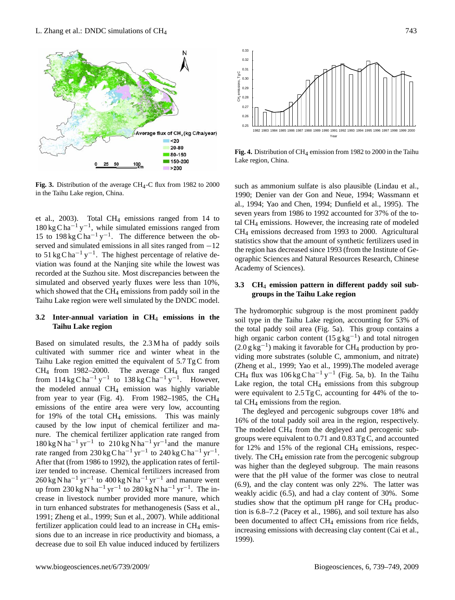

**Fig. 3.** Distribution of the average CH<sub>4</sub>-C flux from 1982 to 2000 in the Taihu Lake region, China.

et al., 2003). Total CH<sup>4</sup> emissions ranged from 14 to  $180 \text{ kg C} \text{ ha}^{-1} \text{ y}^{-1}$ , while simulated emissions ranged from 15 to 198 kg C ha<sup>-1</sup> y<sup>-1</sup>. The difference between the observed and simulated emissions in all sites ranged from  $-12$ to 51 kg C ha<sup>-1</sup> y<sup>-1</sup>. The highest percentage of relative deviation was found at the Nanjing site while the lowest was recorded at the Suzhou site. Most discrepancies between the simulated and observed yearly fluxes were less than 10%, which showed that the  $CH_4$  emissions from paddy soil in the Taihu Lake region were well simulated by the DNDC model.

# **3.2 Inter-annual variation in CH**<sup>4</sup> **emissions in the Taihu Lake region**

CH<sub>4</sub> from 1982–2000. The average CH<sub>4</sub> flux ranged  $CH_{4}$  flux was 10 from  $114 \text{ kg C} \text{ ha}^{-1} \text{ y}^{-1}$  to  $138 \text{ kg C} \text{ ha}^{-1} \text{ y}^{-1}$ . However, Based on simulated results, the 2.3 M ha of paddy soils cultivated with summer rice and winter wheat in the Taihu Lake region emitted the equivalent of 5.7 Tg C from the modeled annual CH<sup>4</sup> emission was highly variable from year to year (Fig. 4). From 1982–1985, the CH<sub>4</sub> emissions of the entire area were very low, accounting for 19% of the total CH<sup>4</sup> emissions. This was mainly caused by the low input of chemical fertilizer and manure. The chemical fertilizer application rate ranged from  $180 \text{ kg N} \text{ ha}^{-1} \text{ yr}^{-1}$  to  $210 \text{ kg N} \text{ ha}^{-1} \text{ yr}^{-1}$  and the manure rate ranged from 230 kg C ha<sup>-1</sup> yr<sup>-1</sup> to 240 kg C ha<sup>-1</sup> yr<sup>-1</sup>. After that (from 1986 to 1992), the application rates of fertilizer tended to increase. Chemical fertilizers increased from  $260 \text{ kg N} \text{ ha}^{-1} \text{ yr}^{-1}$  to  $400 \text{ kg N} \text{ ha}^{-1} \text{ yr}^{-1}$  and manure went up from 230 kg N ha<sup>-1</sup> yr<sup>-1</sup> to 280 kg N ha<sup>-1</sup> yr<sup>-1</sup>. The increase in livestock number provided more manure, which in turn enhanced substrates for methanogenesis (Sass et al., 1991; Zheng et al., 1999; Sun et al., 2007). While additional fertilizer application could lead to an increase in  $CH<sub>4</sub>$  emissions due to an increase in rice productivity and biomass, a decrease due to soil Eh value induced induced by fertilizers



Fig. 4. Distribution of CH<sub>4</sub> emission from 1982 to 2000 in the Taihu Lake region, China.

statistics show that the amount of synthetic fertilizers used in such as ammonium sulfate is also plausible (Lindau et al., 1990; Denier van der Gon and Neue, 1994; Wassmann et al., 1994; Yao and Chen, 1994; Dunfield et al., 1995). The seven years from 1986 to 1992 accounted for 37% of the total CH<sup>4</sup> emissions. However, the increasing rate of modeled CH<sup>4</sup> emissions decreased from 1993 to 2000. Agricultural the region has decreased since 1993 (from the Institute of Geographic Sciences and Natural Resources Research, Chinese Academy of Sciences).

# **3.3 CH**<sup>4</sup> **emission pattern in different paddy soil subgroups in the Taihu Lake region**

The hydromorphic subgroup is the most prominent paddy soil type in the Taihu Lake region, accounting for 53% of the total paddy soil area (Fig. 5a). This group contains a high organic carbon content  $(15 g kg^{-1})$  and total nitrogen (2.0 g kg−<sup>1</sup> ) making it favorable for CH<sup>4</sup> production by providing more substrates (soluble C, ammonium, and nitrate) (Zheng et al., 1999; Yao et al., 1999).The modeled average CH<sub>4</sub> flux was  $106 \text{ kg } \text{Cha}^{-1} \text{ y}^{-1}$  (Fig. 5a, b). In the Taihu Lake region, the total  $CH_4$  emissions from this subgroup were equivalent to  $2.5 \text{ Tg C}$ , accounting for 44% of the total CH<sup>4</sup> emissions from the region.

The degleyed and percogenic subgroups cover 18% and 16% of the total paddy soil area in the region, respectively. The modeled CH<sup>4</sup> from the degleyed and percogenic subgroups were equivalent to 0.71 and 0.83 Tg C, and accounted for 12% and 15% of the regional  $CH<sub>4</sub>$  emissions, respectively. The CH<sup>4</sup> emission rate from the percogenic subgroup was higher than the degleyed subgroup. The main reasons were that the pH value of the former was close to neutral (6.9), and the clay content was only 22%. The latter was weakly acidic (6.5), and had a clay content of 30%. Some studies show that the optimum pH range for  $CH_4$  production is 6.8–7.2 (Pacey et al., 1986), and soil texture has also been documented to affect CH<sub>4</sub> emissions from rice fields, increasing emissions with decreasing clay content (Cai et al., 1999).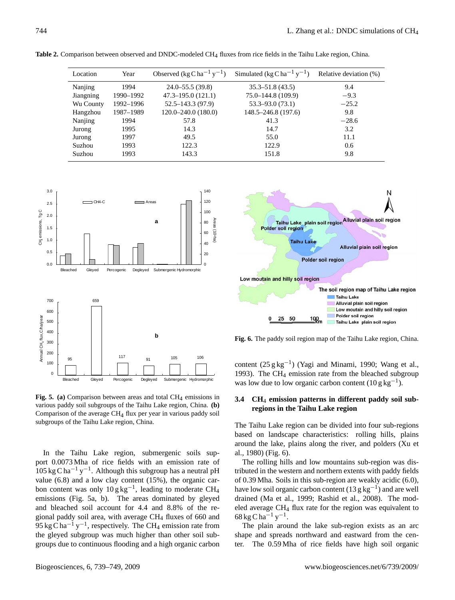| Location  | Year      | Observed $(\text{kg C ha}^{-1} \text{ y}^{-1})$ | Simulated (kg C ha <sup>-1</sup> y <sup>-1</sup> ) | Relative deviation (%) |
|-----------|-----------|-------------------------------------------------|----------------------------------------------------|------------------------|
| Nanjing   | 1994      | $24.0 - 55.5(39.8)$                             | $35.3 - 51.8(43.5)$                                | 9.4                    |
| Jiangning | 1990-1992 | $47.3 - 195.0(121.1)$                           | $75.0 - 144.8(109.9)$                              | $-9.3$                 |
| Wu County | 1992-1996 | $52.5 - 143.3(97.9)$                            | $53.3 - 93.0(73.1)$                                | $-25.2$                |
| Hangzhou  | 1987-1989 | $120.0 - 240.0$ (180.0)                         | $148.5 - 246.8(197.6)$                             | 9.8                    |
| Nanjing   | 1994      | 57.8                                            | 41.3                                               | $-28.6$                |
| Jurong    | 1995      | 14.3                                            | 14.7                                               | 3.2                    |
| Jurong    | 1997      | 49.5                                            | 55.0                                               | 11.1                   |
| Suzhou    | 1993      | 122.3                                           | 122.9                                              | 0.6                    |
| Suzhou    | 1993      | 143.3                                           | 151.8                                              | 9.8                    |

**Table 2.** Comparison between observed and DNDC-modeled CH4 fluxes from rice fields in the Taihu Lake region, China.



**Fig. 5. (a)** Comparison between areas and total CH<sub>4</sub> emissions in various paddy soil subgroups of the Taihu Lake region, China. **(b)** Comparison of the average  $CH<sub>4</sub>$  flux per year in various paddy soil subgroups of the Taihu Lake region, China.

emissions (Fig. 5a, b). The areas dominated by gleyed gional paddy soil area, with average  $CH<sub>4</sub>$  fluxes of 660 and 95 kg C ha<sup>-1</sup> y<sup>-1</sup>, respectively. The CH<sub>4</sub> emission rate from In the Taihu Lake region, submergenic soils support 0.0073 Mha of rice fields with an emission rate of  $105 \text{ kg C} \text{ ha}^{-1} \text{ y}^{-1}$ . Although this subgroup has a neutral pH value (6.8) and a low clay content (15%), the organic carbon content was only  $10\,\text{g}\,\text{kg}^{-1}$ , leading to moderate CH<sub>4</sub> and bleached soil account for 4.4 and 8.8% of the rethe gleyed subgroup was much higher than other soil subgroups due to continuous flooding and a high organic carbon



**Fig. 6.** The paddy soil region map of the Taihu Lake region, China.

content  $(25 g kg^{-1})$  (Yagi and Minami, 1990; Wang et al., 1993). The CH $_4$  emission rate from the bleached subgroup was low due to low organic carbon content  $(10 g kg<sup>-1</sup>)$ .

# **3.4 CH**<sup>4</sup> **emission patterns in different paddy soil subregions in the Taihu Lake region**

The Taihu Lake region can be divided into four sub-regions based on landscape characteristics: rolling hills, plains around the lake, plains along the river, and polders (Xu et al., 1980) (Fig. 6).

The rolling hills and low mountains sub-region was distributed in the western and northern extents with paddy fields of 0.39 Mha. Soils in this sub-region are weakly acidic (6.0), have low soil organic carbon content (13 g kg<sup>-1</sup>) and are well drained (Ma et al., 1999; Rashid et al., 2008). The modeled average CH<sup>4</sup> flux rate for the region was equivalent to  $68 \text{ kg C ha}^{-1} \text{ y}^{-1}$ .

The plain around the lake sub-region exists as an arc shape and spreads northward and eastward from the center. The 0.59 Mha of rice fields have high soil organic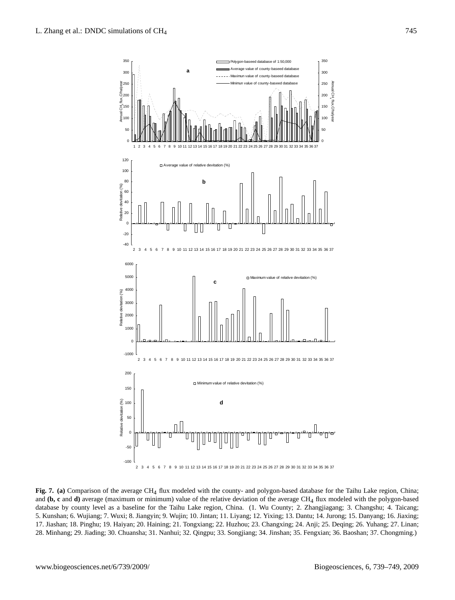

of the average CH<sub>4</sub> flux modeled with the county- and polygon-based database for and (b, c and d) average (maximum or minimum) value of the relative deviation of the average CH<sub>4</sub> flux modeled with the polygon-based 5. Kunshan; 6. Wujiang; 7. Wuxi; 8. Jiangyin; 9. Wujin; 10. Jintan; 11. Liyang; 12. Yixing; 13. Dantu; 14. Jurong; 15. Danyang; 16. Jiaxing; 17. Jiashan; 18. Pinghu; 19. Haiyan; 20. Haining; 21. Tongxiang; 22. Huzhou; 23. Changxing; 24. Anji; 25. Deqing; 26. Yuhang; 27. Linan; 28. Minhang; 29. Jiading; 30. Chuansha; 31. Nanhui; 32. Qingpu; 33. Songjiang; 34. Jinshan; 35. Fengxian; 36. Baoshan; 37. Chongming.) Fig. 7. (a) Comparison of the average CH<sub>4</sub> flux modeled with the county- and polygon-based database for the Taihu Lake region, China; 771 database by county level as a baseline for the Taihu Lake region, China. (1. Wu County; 2. Zhangjiagang; 3. Changshu; 4. Taicang;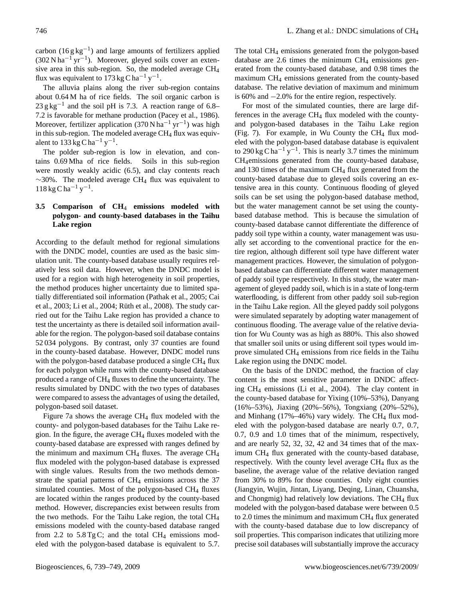carbon ( $16 \text{ g kg}^{-1}$ ) and large amounts of fertilizers applied  $(302 \text{ N} \text{ ha}^{-1} \text{ yr}^{-1})$ . Moreover, gleyed soils cover an extensive area in this sub-region. So, the modeled average CH<sup>4</sup> flux was equivalent to 173 kg C ha<sup>-1</sup> y<sup>-1</sup>.

The alluvia plains along the river sub-region contains about 0.64 M ha of rice fields. The soil organic carbon is  $23 \text{ g kg}^{-1}$  and the soil pH is 7.3. A reaction range of 6.8– 7.2 is favorable for methane production (Pacey et al., 1986). Moreover, fertilizer application (370 N ha<sup>-1</sup> yr<sup>-1</sup>) was high in this sub-region. The modeled average  $CH_4$  flux was equivalent to  $133 \text{ kg C} \text{ ha}^{-1} \text{ y}^{-1}$ .

The polder sub-region is low in elevation, and contains 0.69 Mha of rice fields. Soils in this sub-region were mostly weakly acidic (6.5), and clay contents reach  $~\sim$ 30%. The modeled average CH<sub>4</sub> flux was equivalent to  $118 \text{ kg} \text{C} \text{h} \text{a}^{-1} \text{ y}^{-1}.$ 

# **3.5 Comparison of CH**<sup>4</sup> **emissions modeled with polygon- and county-based databases in the Taihu Lake region**

According to the default method for regional simulations with the DNDC model, counties are used as the basic simulation unit. The county-based database usually requires relatively less soil data. However, when the DNDC model is used for a region with high heterogeneity in soil properties, the method produces higher uncertainty due to limited spatially differentiated soil information (Pathak et al., 2005; Cai et al., 2003; Li et al., 2004; Rüth et al., 2008). The study carried out for the Taihu Lake region has provided a chance to test the uncertainty as there is detailed soil information available for the region. The polygon-based soil database contains 52 034 polygons. By contrast, only 37 counties are found in the county-based database. However, DNDC model runs with the polygon-based database produced a single CH<sub>4</sub> flux for each polygon while runs with the county-based database produced a range of CH<sup>4</sup> fluxes to define the uncertainty. The results simulated by DNDC with the two types of databases were compared to assess the advantages of using the detailed, polygon-based soil dataset.

Figure 7a shows the average CH<sup>4</sup> flux modeled with the county- and polygon-based databases for the Taihu Lake region. In the figure, the average CH<sup>4</sup> fluxes modeled with the county-based database are expressed with ranges defined by the minimum and maximum  $CH_4$  fluxes. The average  $CH_4$ flux modeled with the polygon-based database is expressed with single values. Results from the two methods demonstrate the spatial patterns of  $CH<sub>4</sub>$  emissions across the 37 simulated counties. Most of the polygon-based CH<sub>4</sub> fluxes are located within the ranges produced by the county-based method. However, discrepancies exist between results from the two methods. For the Taihu Lake region, the total CH<sup>4</sup> emissions modeled with the county-based database ranged from 2.2 to  $5.8 \text{ TgC}$ ; and the total CH<sub>4</sub> emissions modeled with the polygon-based database is equivalent to 5.7.

The total CH<sup>4</sup> emissions generated from the polygon-based database are 2.6 times the minimum  $CH<sub>4</sub>$  emissions generated from the county-based database, and 0.98 times the maximum CH<sup>4</sup> emissions generated from the county-based database. The relative deviation of maximum and minimum is 60% and −2.0% for the entire region, respectively.

For most of the simulated counties, there are large differences in the average  $CH_4$  flux modeled with the countyand polygon-based databases in the Taihu Lake region (Fig. 7). For example, in Wu County the CH<sub>4</sub> flux modeled with the polygon-based database database is equivalent to 290 kg C ha<sup>-1</sup> y<sup>-1</sup>. This is nearly 3.7 times the minimum CH4emissions generated from the county-based database, and 130 times of the maximum  $CH<sub>4</sub>$  flux generated from the county-based database due to gleyed soils covering an extensive area in this county. Continuous flooding of gleyed soils can be set using the polygon-based database method, but the water management cannot be set using the countybased database method. This is because the simulation of county-based database cannot differentiate the difference of paddy soil type within a county, water management was usually set according to the conventional practice for the entire region, although different soil type have different water management practices. However, the simulation of polygonbased database can differentiate different water management of paddy soil type respectively. In this study, the water management of gleyed paddy soil, which is in a state of long-term waterflooding, is different from other paddy soil sub-region in the Taihu Lake region. All the gleyed paddy soil polygons were simulated separately by adopting water management of continuous flooding. The average value of the relative deviation for Wu County was as high as 880%. This also showed that smaller soil units or using different soil types would improve simulated CH<sup>4</sup> emissions from rice fields in the Taihu Lake region using the DNDC model.

On the basis of the DNDC method, the fraction of clay content is the most sensitive parameter in DNDC affecting CH<sup>4</sup> emissions (Li et al., 2004). The clay content in the county-based database for Yixing (10%–53%), Danyang (16%–53%), Jiaxing (20%–56%), Tongxiang (20%–52%), and Minhang  $(17\% - 46\%)$  vary widely. The CH<sub>4</sub> flux modeled with the polygon-based database are nearly 0.7, 0.7, 0.7, 0.9 and 1.0 times that of the minimum, respectively, and are nearly 52, 32, 32, 42 and 34 times that of the maximum CH<sup>4</sup> flux generated with the county-based database, respectively. With the county level average  $CH<sub>4</sub>$  flux as the baseline, the average value of the relative deviation ranged from 30% to 89% for those counties. Only eight counties (Jiangyin, Wujin, Jintan, Liyang, Deqing, Linan, Chuansha, and Chongmig) had relatively low deviations. The CH<sub>4</sub> flux modeled with the polygon-based database were between 0.5 to 2.0 times the minimum and maximum  $CH<sub>4</sub>$  flux generated with the county-based database due to low discrepancy of soil properties. This comparison indicates that utilizing more precise soil databases will substantially improve the accuracy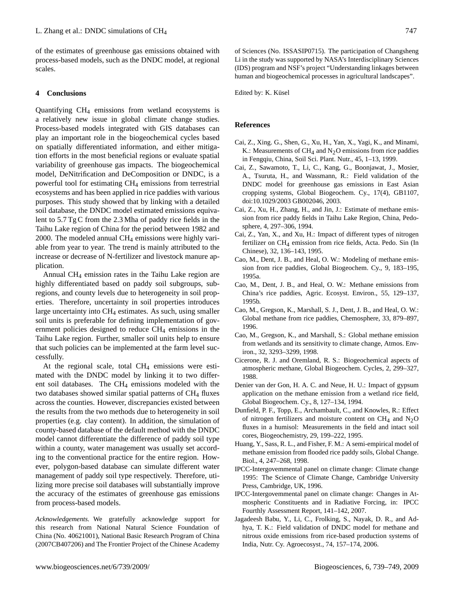of the estimates of greenhouse gas emissions obtained with process-based models, such as the DNDC model, at regional scales.

#### **4 Conclusions**

Quantifying CH<sup>4</sup> emissions from wetland ecosystems is a relatively new issue in global climate change studies. Process-based models integrated with GIS databases can play an important role in the biogeochemical cycles based on spatially differentiated information, and either mitigation efforts in the most beneficial regions or evaluate spatial variability of greenhouse gas impacts. The biogeochemical model, DeNitrification and DeComposition or DNDC, is a powerful tool for estimating CH<sup>4</sup> emissions from terrestrial ecosystems and has been applied in rice paddies with various purposes. This study showed that by linking with a detailed soil database, the DNDC model estimated emissions equivalent to 5.7 Tg C from the 2.3 Mha of paddy rice fields in the Taihu Lake region of China for the period between 1982 and 2000. The modeled annual CH<sup>4</sup> emissions were highly variable from year to year. The trend is mainly attributed to the increase or decrease of N-fertilizer and livestock manure application.

Annual CH<sup>4</sup> emission rates in the Taihu Lake region are highly differentiated based on paddy soil subgroups, subregions, and county levels due to heterogeneity in soil properties. Therefore, uncertainty in soil properties introduces large uncertainty into  $CH_4$  estimates. As such, using smaller soil units is preferable for defining implementation of government policies designed to reduce  $CH<sub>4</sub>$  emissions in the Taihu Lake region. Further, smaller soil units help to ensure that such policies can be implemented at the farm level successfully.

At the regional scale, total  $CH<sub>4</sub>$  emissions were estimated with the DNDC model by linking it to two different soil databases. The  $CH_4$  emissions modeled with the two databases showed similar spatial patterns of  $CH<sub>4</sub>$  fluxes across the counties. However, discrepancies existed between the results from the two methods due to heterogeneity in soil properties (e.g. clay content). In addition, the simulation of county-based database of the default method with the DNDC model cannot differentiate the difference of paddy soil type within a county, water management was usually set according to the conventional practice for the entire region. However, polygon-based database can simulate different water management of paddy soil type respectively. Therefore, utilizing more precise soil databases will substantially improve the accuracy of the estimates of greenhouse gas emissions from process-based models.

*Acknowledgements.* We gratefully acknowledge support for this research from National Natural Science Foundation of China (No. 40621001), National Basic Research Program of China (2007CB407206) and The Frontier Project of the Chinese Academy

of Sciences (No. ISSASIP0715). The participation of Changsheng Li in the study was supported by NASA's Interdisciplinary Sciences (IDS) program and NSF's project "Understanding linkages between human and biogeochemical processes in agricultural landscapes".

Edited by: K. Küsel

#### **References**

- Cai, Z., Xing. G., Shen, G., Xu, H., Yan, X., Yagi, K., and Minami, K.: Measurements of CH<sub>4</sub> and N<sub>2</sub>O emissions from rice paddies in Fengqiu, China, Soil Sci. Plant. Nutr., 45, 1–13, 1999.
- Cai, Z., Sawamoto, T., Li, C., Kang, G., Boonjawat, J., Mosier, A., Tsuruta, H., and Wassmann, R.: Field validation of the DNDC model for greenhouse gas emissions in East Asian cropping systems, Global Biogeochem. Cy., 17(4), GB1107, doi:10.1029/2003 GB002046, 2003.
- Cai, Z., Xu, H., Zhang, H., and Jin, J.: Estimate of methane emission from rice paddy fields in Taihu Lake Region, China, Pedosphere, 4, 297–306, 1994.
- Cai, Z., Yan, X., and Xu, H.: Impact of different types of nitrogen fertilizer on CH4 emission from rice fields, Acta. Pedo. Sin (In Chinese), 32, 136–143, 1995.
- Cao, M., Dent, J. B., and Heal, O. W.: Modeling of methane emission from rice paddies, Global Biogeochem. Cy., 9, 183–195, 1995a.
- Cao, M., Dent, J. B., and Heal, O. W.: Methane emissions from China's rice paddies, Agric. Ecosyst. Environ., 55, 129–137, 1995b.
- Cao, M., Gregson, K., Marshall, S. J., Dent, J. B., and Heal, O. W.: Global methane from rice paddies, Chemosphere, 33, 879–897, 1996.
- Cao, M., Gregson, K., and Marshall, S.: Global methane emission from wetlands and its sensitivity to climate change, Atmos. Environ., 32, 3293–3299, 1998.
- Cicerone, R. J. and Oremland, R. S.: Biogeochemical aspects of atmospheric methane, Global Biogeochem. Cycles, 2, 299–327, 1988.
- Denier van der Gon, H. A. C. and Neue, H. U.: Impact of gypsum application on the methane emission from a wetland rice field, Global Biogeochem. Cy., 8, 127–134, 1994.
- Dunfield, P. F., Topp, E., Archambault, C., and Knowles, R.: Effect of nitrogen fertilizers and moisture content on  $CH_4$  and  $N_2O$ fluxes in a humisol: Measurements in the field and intact soil cores, Biogeochemistry, 29, 199–222, 1995.
- Huang, Y., Sass, R. L., and Fisher, F. M.: A semi-empirical model of methane emission from flooded rice paddy soils, Global Change. Biol., 4, 247–268, 1998.
- IPCC-Intergovemmental panel on climate change: Climate change 1995: The Science of Climate Change, Cambridge University Press, Cambridge, UK, 1996.
- IPCC-Intergovemmental panel on climate change: Changes in Atmospheric Constituents and in Radiative Forcing, in: IPCC Fourthly Assessment Report, 141–142, 2007.
- Jagadeesh Babu, Y., Li, C., Frolking, S., Nayak, D. R., and Adhya, T. K.: Field validation of DNDC model for methane and nitrous oxide emissions from rice-based production systems of India, Nutr. Cy. Agroecosyst., 74, 157–174, 2006.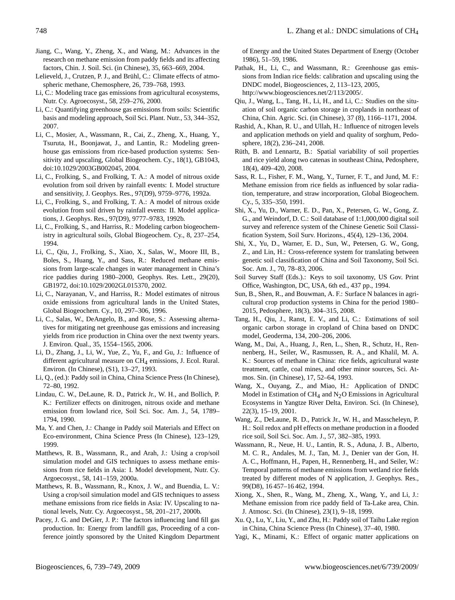- Jiang, C., Wang, Y., Zheng, X., and Wang, M.: Advances in the research on methane emission from paddy fields and its affecting factors, Chin. J. Soil. Sci. (in Chinese), 35, 663–669, 2004.
- Lelieveld, J., Crutzen, P. J., and Brühl, C.: Climate effects of atmospheric methane, Chemosphere, 26, 739–768, 1993.
- Li, C.: Modeling trace gas emissions from agricultural ecosystems, Nutr. Cy. Agroecosyst., 58, 259–276, 2000.
- Li, C.: Quantifying greenhouse gas emissions from soils: Scientific basis and modeling approach, Soil Sci. Plant. Nutr., 53, 344–352, 2007.
- Li, C., Mosier, A., Wassmann, R., Cai, Z., Zheng, X., Huang, Y., Tsuruta, H., Boonjawat, J., and Lantin, R.: Modeling greenhouse gas emissions from rice-based production systems: Sensitivity and upscaling, Global Biogeochem. Cy., 18(1), GB1043, doi:10.1029/2003GB002045, 2004.
- Li, C., Frolking, S., and Frolking, T. A.: A model of nitrous oxide evolution from soil driven by rainfall events: I. Model structure and sensitivity, J. Geophys. Res., 97(D9), 9759–9776, 1992a.
- Li, C., Frolking, S., and Frolking, T. A.: A model of nitrous oxide evolution from soil driven by rainfall events: II. Model applications, J. Geophys. Res., 97(D9), 9777–9783, 1992b.
- Li, C., Frolking, S., and Harriss, R.: Modeling carbon biogeochemistry in agricultural soils, Global Biogeochem. Cy., 8, 237–254, 1994.
- Li, C., Qiu, J., Frolking, S., Xiao, X., Salas, W., Moore III, B., Boles, S., Huang, Y., and Sass, R.: Reduced methane emissions from large-scale changes in water management in China's rice paddies during 1980–2000, Geophys. Res. Lett., 29(20), GB1972, doi:10.1029/2002GL015370, 2002.
- Li, C., Narayanan, V., and Harriss, R.: Model estimates of nitrous oxide emissions from agricultural lands in the United States, Global Biogeochem. Cy., 10, 297–306, 1996.
- Li, C., Salas, W., DeAngelo, B., and Rose, S.: Assessing alternatives for mitigating net greenhouse gas emissions and increasing yields from rice production in China over the next twenty years. J. Environ. Qual., 35, 1554–1565, 2006.
- Li, D., Zhang, J., Li, W., Yue, Z., Yu, F., and Gu, J.: Influence of different agricultural measure on CH<sub>4</sub> emissions, J. Ecol. Rural. Environ. (In Chinese), (S1), 13–27, 1993.
- Li, Q., (ed.): Paddy soil in China, China Science Press (In Chinese), 72–80, 1992.
- Lindau, C. W., DeLaune, R. D., Patrick Jr., W. H., and Bollich, P. K.: Fertilizer effects on dinitrogen, nitrous oxide and methane emission from lowland rice, Soil Sci. Soc. Am. J., 54, 1789– 1794, 1990.
- Ma, Y. and Chen, J.: Change in Paddy soil Materials and Effect on Eco-environment, China Science Press (In Chinese), 123–129, 1999.
- Matthews, R. B., Wassmann, R., and Arah, J.: Using a crop/soil simulation model and GIS techniques to assess methane emissions from rice fields in Asia: I. Model development, Nutr. Cy. Argoecosyst., 58, 141–159, 2000a.
- Matthews, R. B., Wassmann, R., Knox, J. W., and Buendia, L. V.: Using a crop/soil simulation model and GIS techniques to assess methane emissions from rice fields in Asia: IV. Upscaling to national levels, Nutr. Cy. Argoecosyst., 58, 201–217, 2000b.
- Pacey, J. G. and DeGier, J. P.: The factors influencing land fill gas production. In: Energy from landfill gas, Proceeding of a conference jointly sponsored by the United Kingdom Department

of Energy and the United States Department of Energy (October 1986), 51–59, 1986.

- Pathak, H., Li, C., and Wassmann, R.: Greenhouse gas emissions from Indian rice fields: calibration and upscaling using the DNDC model, Biogeosciences, 2, 113–123, 2005, [http://www.biogeosciences.net/2/113/2005/.](http://www.biogeosciences.net/2/113/2005/)
- Qiu, J., Wang, L., Tang, H., Li, H., and Li, C.: Studies on the situation of soil organic carbon storage in croplands in northeast of China, Chin. Agric. Sci. (in Chinese), 37 (8), 1166–1171, 2004.
- Rashid, A., Khan, R. U., and Ullah, H.: Influence of nitrogen levels and application methods on yield and quality of sorghum, Pedosphere, 18(2), 236–241, 2008.
- Rüth, B. and Lennartz, B.: Spatial variability of soil properties and rice yield along two catenas in southeast China, Pedosphere, 18(4), 409–420, 2008.
- Sass, R. L., Fisher, F. M., Wang, Y., Turner, F. T., and Jund, M. F.: Methane emission from rice fields as influenced by solar radiation, temperature, and straw incorporation, Global Biogeochem. Cy., 5, 335–350, 1991.
- Shi, X., Yu, D., Warner, E. D., Pan, X., Petersen, G. W., Gong, Z. G., and Weindorf, D. C.: Soil database of 1:1,000,000 digital soil survey and reference system of the Chinese Genetic Soil Classification System, Soil Surv. Horizons., 45(4), 129–136, 2004.
- Shi, X., Yu, D., Warner, E. D., Sun, W., Petersen, G. W., Gong, Z., and Lin, H.: Cross-reference system for translating between genetic soil classification of China and Soil Taxonomy, Soil Sci. Soc. Am. J., 70, 78–83, 2006.
- Soil Survey Staff (Eds.).: Keys to soil taxonomy, US Gov. Print Office, Washington, DC, USA, 6th ed., 437 pp., 1994.
- Sun, B., Shen, R., and Bouwman, A. F.: Surface N balances in agricultural crop production systems in China for the period 1980– 2015, Pedosphere, 18(3), 304–315, 2008.
- Tang, H., Qiu, J., Ranst, E. V., and Li, C.: Estimations of soil organic carbon storage in cropland of China based on DNDC model, Geoderma, 134, 200–206, 2006.
- Wang, M., Dai, A., Huang, J., Ren, L., Shen, R., Schutz, H., Rennenberg, H., Seiler, W., Rasmussen, R. A., and Khalil, M. A. K.: Sources of methane in China: rice fields, agricultural waste treatment, cattle, coal mines, and other minor sources, Sci. Atmos. Sin. (in Chinese), 17, 52–64, 1993.
- Wang, X., Ouyang, Z., and Miao, H.: Application of DNDC Model in Estimation of  $CH_4$  and  $N_2O$  Emissions in Agricultural Ecosystems in Yangtze River Delta, Environ. Sci. (In Chinese), 22(3), 15–19, 2001.
- Wang, Z., DeLaune, R. D., Patrick Jr., W. H., and Masscheleyn, P. H.: Soil redox and pH effects on methane production in a flooded rice soil, Soil Sci. Soc. Am. J., 57, 382–385, 1993.
- Wassmann, R., Neue, H. U., Lantin, R. S., Aduna, J. B., Alberto, M. C. R., Andales, M. J., Tan, M. J., Denier van der Gon, H. A. C., Hoffmann, H., Papen, H., Rennenberg, H., and Seiler, W.: Temporal patterns of methane emissions from wetland rice fields treated by different modes of N application, J. Geophys. Res., 99(D8), 16 457–16 462, 1994.
- Xiong, X., Shen, R., Wang, M., Zheng, X., Wang, Y., and Li, J.: Methane emission from rice paddy field of Ta-Lake area, Chin. J. Atmosc. Sci. (In Chinese), 23(1), 9–18, 1999.
- Xu. Q., Lu, Y., Liu, Y., and Zhu, H.: Paddy soil of Taihu Lake region in China, China Science Press (In Chinese), 37–40, 1980.
- Yagi, K., Minami, K.: Effect of organic matter applications on